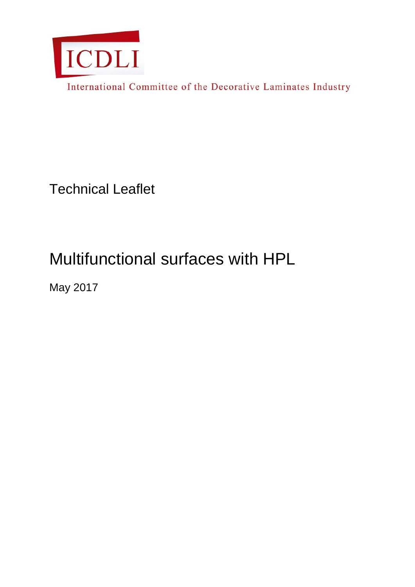

International Committee of the Decorative Laminates Industry

Technical Leaflet

# Multifunctional surfaces with HPL

May 2017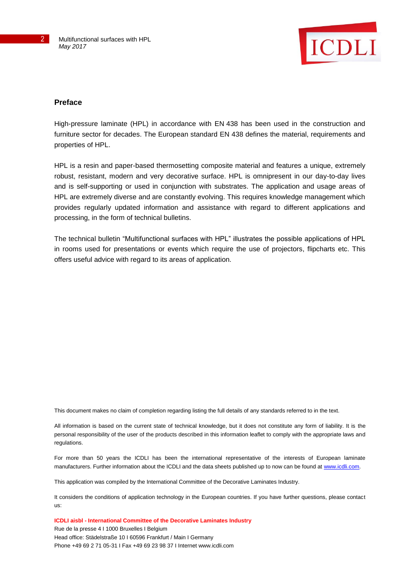

### **Preface**

High-pressure laminate (HPL) in accordance with EN 438 has been used in the construction and furniture sector for decades. The European standard EN 438 defines the material, requirements and properties of HPL.

HPL is a resin and paper-based thermosetting composite material and features a unique, extremely robust, resistant, modern and very decorative surface. HPL is omnipresent in our day-to-day lives and is self-supporting or used in conjunction with substrates. The application and usage areas of HPL are extremely diverse and are constantly evolving. This requires knowledge management which provides regularly updated information and assistance with regard to different applications and processing, in the form of technical bulletins.

The technical bulletin "Multifunctional surfaces with HPL" illustrates the possible applications of HPL in rooms used for presentations or events which require the use of projectors, flipcharts etc. This offers useful advice with regard to its areas of application.

This document makes no claim of completion regarding listing the full details of any standards referred to in the text.

All information is based on the current state of technical knowledge, but it does not constitute any form of liability. It is the personal responsibility of the user of the products described in this information leaflet to comply with the appropriate laws and regulations.

For more than 50 years the ICDLI has been the international representative of the interests of European laminate manufacturers. Further information about the ICDLI and the data sheets published up to now can be found at [www.icdli.com.](http://www.icdli.com/)

This application was compiled by the International Committee of the Decorative Laminates Industry.

It considers the conditions of application technology in the European countries. If you have further questions, please contact us:

**ICDLI aisbl - International Committee of the Decorative Laminates Industry** 

Rue de la presse 4 I 1000 Bruxelles I Belgium Head office: Städelstraße 10 I 60596 Frankfurt / Main I Germany Phone +49 69 2 71 05-31 I Fax +49 69 23 98 37 I Internet www.icdli.com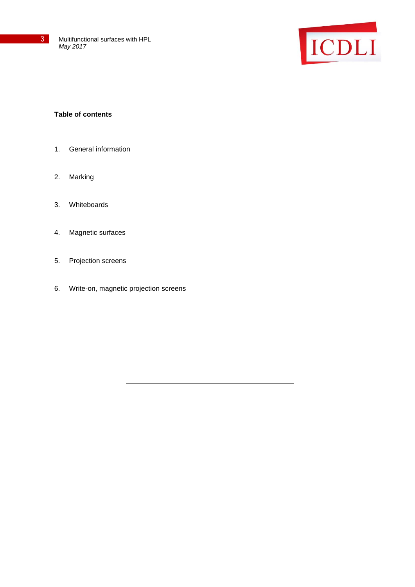



## **Table of contents**

- 1. General information
- 2. Marking
- 3. Whiteboards
- 4. Magnetic surfaces
- 5. Projection screens
- 6. Write-on, magnetic projection screens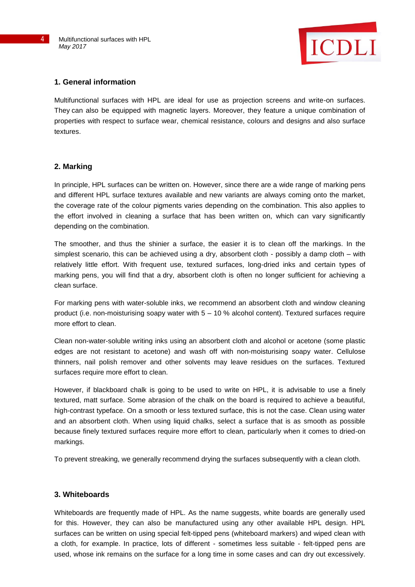

### **1. General information**

Multifunctional surfaces with HPL are ideal for use as projection screens and write-on surfaces. They can also be equipped with magnetic layers. Moreover, they feature a unique combination of properties with respect to surface wear, chemical resistance, colours and designs and also surface textures.

### **2. Marking**

In principle, HPL surfaces can be written on. However, since there are a wide range of marking pens and different HPL surface textures available and new variants are always coming onto the market, the coverage rate of the colour pigments varies depending on the combination. This also applies to the effort involved in cleaning a surface that has been written on, which can vary significantly depending on the combination.

The smoother, and thus the shinier a surface, the easier it is to clean off the markings. In the simplest scenario, this can be achieved using a dry, absorbent cloth - possibly a damp cloth – with relatively little effort. With frequent use, textured surfaces, long-dried inks and certain types of marking pens, you will find that a dry, absorbent cloth is often no longer sufficient for achieving a clean surface.

For marking pens with water-soluble inks, we recommend an absorbent cloth and window cleaning product (i.e. non-moisturising soapy water with  $5 - 10$  % alcohol content). Textured surfaces require more effort to clean.

Clean non-water-soluble writing inks using an absorbent cloth and alcohol or acetone (some plastic edges are not resistant to acetone) and wash off with non-moisturising soapy water. Cellulose thinners, nail polish remover and other solvents may leave residues on the surfaces. Textured surfaces require more effort to clean.

However, if blackboard chalk is going to be used to write on HPL, it is advisable to use a finely textured, matt surface. Some abrasion of the chalk on the board is required to achieve a beautiful, high-contrast typeface. On a smooth or less textured surface, this is not the case. Clean using water and an absorbent cloth. When using liquid chalks, select a surface that is as smooth as possible because finely textured surfaces require more effort to clean, particularly when it comes to dried-on markings.

To prevent streaking, we generally recommend drying the surfaces subsequently with a clean cloth.

#### **3. Whiteboards**

Whiteboards are frequently made of HPL. As the name suggests, white boards are generally used for this. However, they can also be manufactured using any other available HPL design. HPL surfaces can be written on using special felt-tipped pens (whiteboard markers) and wiped clean with a cloth, for example. In practice, lots of different - sometimes less suitable - felt-tipped pens are used, whose ink remains on the surface for a long time in some cases and can dry out excessively.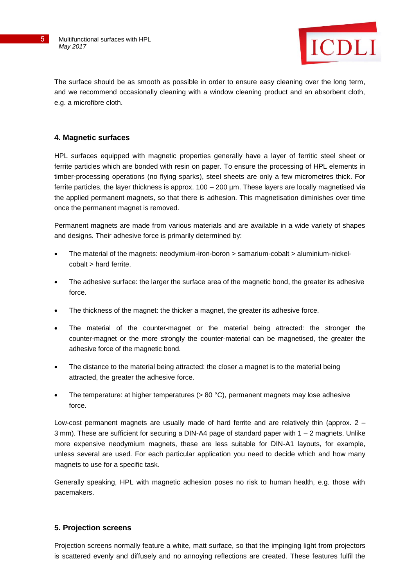

The surface should be as smooth as possible in order to ensure easy cleaning over the long term, and we recommend occasionally cleaning with a window cleaning product and an absorbent cloth, e.g. a microfibre cloth.

# **4. Magnetic surfaces**

HPL surfaces equipped with magnetic properties generally have a layer of ferritic steel sheet or ferrite particles which are bonded with resin on paper. To ensure the processing of HPL elements in timber-processing operations (no flying sparks), steel sheets are only a few micrometres thick. For ferrite particles, the layer thickness is approx. 100 – 200 µm. These layers are locally magnetised via the applied permanent magnets, so that there is adhesion. This magnetisation diminishes over time once the permanent magnet is removed.

Permanent magnets are made from various materials and are available in a wide variety of shapes and designs. Their adhesive force is primarily determined by:

- The material of the magnets: neodymium-iron-boron > samarium-cobalt > aluminium-nickelcobalt > hard ferrite.
- The adhesive surface: the larger the surface area of the magnetic bond, the greater its adhesive force.
- The thickness of the magnet: the thicker a magnet, the greater its adhesive force.
- The material of the counter-magnet or the material being attracted: the stronger the counter-magnet or the more strongly the counter-material can be magnetised, the greater the adhesive force of the magnetic bond.
- The distance to the material being attracted: the closer a magnet is to the material being attracted, the greater the adhesive force.
- The temperature: at higher temperatures (> 80 °C), permanent magnets may lose adhesive force.

Low-cost permanent magnets are usually made of hard ferrite and are relatively thin (approx. 2 – 3 mm). These are sufficient for securing a DIN-A4 page of standard paper with 1 – 2 magnets. Unlike more expensive neodymium magnets, these are less suitable for DIN-A1 layouts, for example, unless several are used. For each particular application you need to decide which and how many magnets to use for a specific task.

Generally speaking, HPL with magnetic adhesion poses no risk to human health, e.g. those with pacemakers.

# **5. Projection screens**

Projection screens normally feature a white, matt surface, so that the impinging light from projectors is scattered evenly and diffusely and no annoying reflections are created. These features fulfil the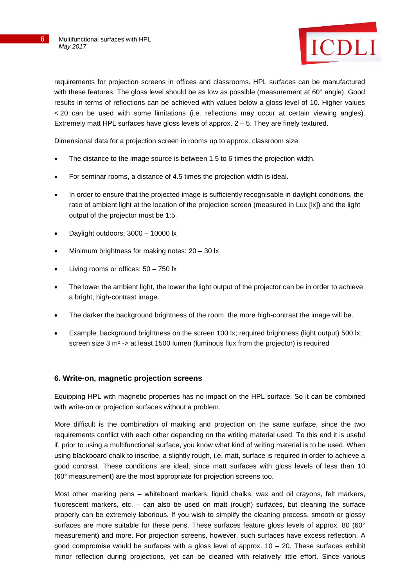

requirements for projection screens in offices and classrooms. HPL surfaces can be manufactured with these features. The gloss level should be as low as possible (measurement at 60° angle). Good results in terms of reflections can be achieved with values below a gloss level of 10. Higher values < 20 can be used with some limitations (i.e. reflections may occur at certain viewing angles). Extremely matt HPL surfaces have gloss levels of approx. 2 – 5. They are finely textured.

Dimensional data for a projection screen in rooms up to approx. classroom size:

- The distance to the image source is between 1.5 to 6 times the projection width.
- For seminar rooms, a distance of 4.5 times the projection width is ideal.
- In order to ensure that the projected image is sufficiently recognisable in daylight conditions, the ratio of ambient light at the location of the projection screen (measured in Lux [lx]) and the light output of the projector must be 1:5.
- Daylight outdoors: 3000 10000 lx
- Minimum brightness for making notes: 20 30 lx
- Living rooms or offices: 50 750 lx
- The lower the ambient light, the lower the light output of the projector can be in order to achieve a bright, high-contrast image.
- The darker the background brightness of the room, the more high-contrast the image will be.
- Example: background brightness on the screen 100 lx; required brightness (light output) 500 lx; screen size 3 m<sup>2</sup> -> at least 1500 lumen (luminous flux from the projector) is required

#### **6. Write-on, magnetic projection screens**

Equipping HPL with magnetic properties has no impact on the HPL surface. So it can be combined with write-on or projection surfaces without a problem.

More difficult is the combination of marking and projection on the same surface, since the two requirements conflict with each other depending on the writing material used. To this end it is useful if, prior to using a multifunctional surface, you know what kind of writing material is to be used. When using blackboard chalk to inscribe, a slightly rough, i.e. matt, surface is required in order to achieve a good contrast. These conditions are ideal, since matt surfaces with gloss levels of less than 10 (60° measurement) are the most appropriate for projection screens too.

Most other marking pens – whiteboard markers, liquid chalks, wax and oil crayons, felt markers, fluorescent markers, etc. – can also be used on matt (rough) surfaces, but cleaning the surface properly can be extremely laborious. If you wish to simplify the cleaning process, smooth or glossy surfaces are more suitable for these pens. These surfaces feature gloss levels of approx. 80 (60° measurement) and more. For projection screens, however, such surfaces have excess reflection. A good compromise would be surfaces with a gloss level of approx.  $10 - 20$ . These surfaces exhibit minor reflection during projections, yet can be cleaned with relatively little effort. Since various